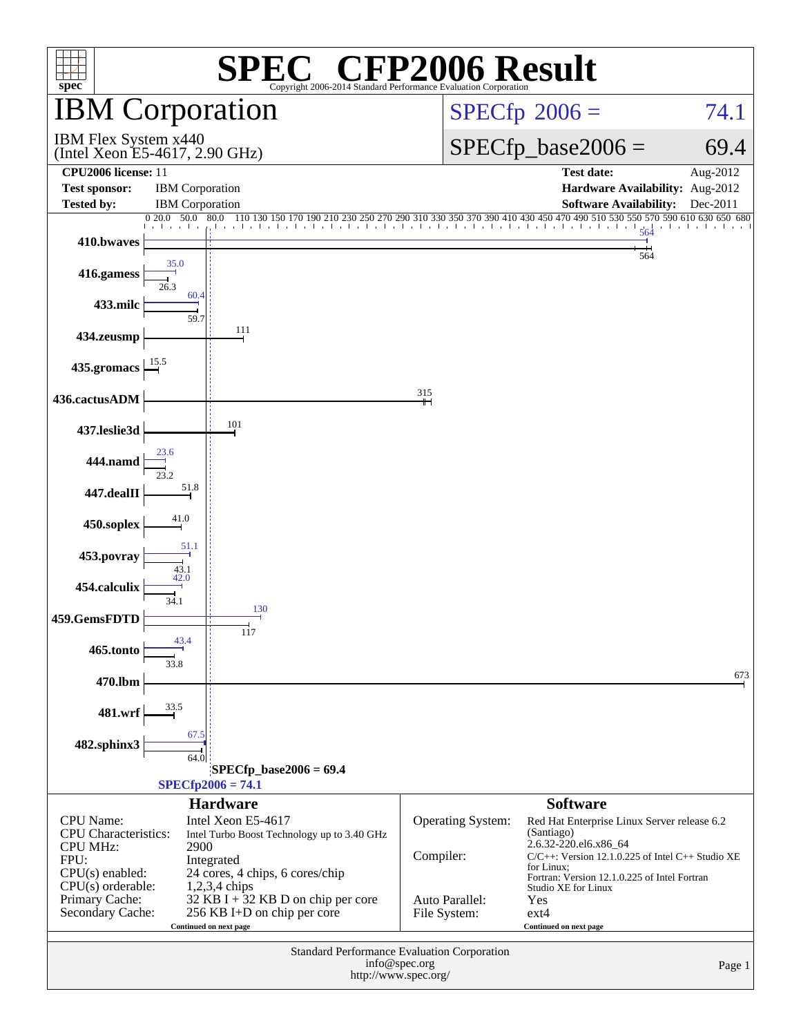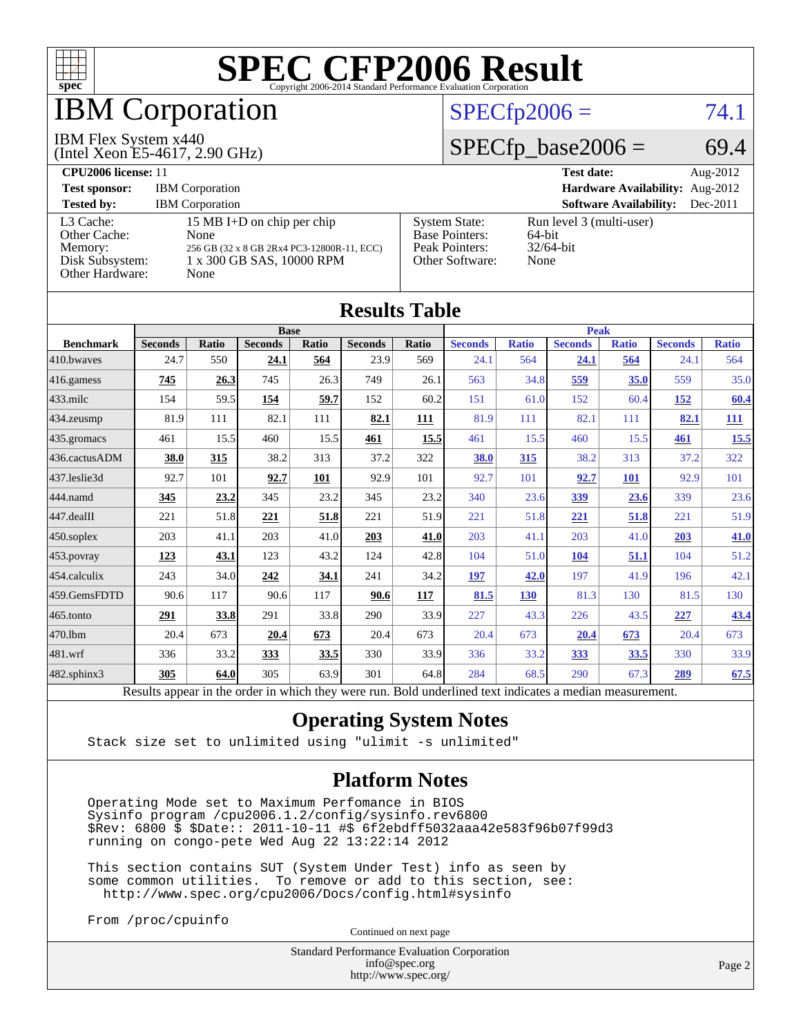

## IBM Corporation

#### IBM Flex System x440

(Intel Xeon E5-4617, 2.90 GHz)

#### $SPECfp2006 = 74.1$  $SPECfp2006 = 74.1$

### $SPECTp\_base2006 = 69.4$

| CPU <sub>2006</sub> license: 11                                            |                                                                                                                       |                                                                                    | <b>Test date:</b><br>Aug- $2012$                              |
|----------------------------------------------------------------------------|-----------------------------------------------------------------------------------------------------------------------|------------------------------------------------------------------------------------|---------------------------------------------------------------|
| <b>Test sponsor:</b>                                                       | <b>IBM</b> Corporation                                                                                                | <b>Hardware Availability:</b> Aug-2012                                             |                                                               |
| <b>Tested by:</b>                                                          | <b>IBM</b> Corporation                                                                                                |                                                                                    | <b>Software Availability:</b><br>$Dec-2011$                   |
| L3 Cache:<br>Other Cache:<br>Memory:<br>Disk Subsystem:<br>Other Hardware: | 15 MB I+D on chip per chip<br>None<br>256 GB (32 x 8 GB 2Rx4 PC3-12800R-11, ECC)<br>1 x 300 GB SAS, 10000 RPM<br>None | <b>System State:</b><br><b>Base Pointers:</b><br>Peak Pointers:<br>Other Software: | Run level 3 (multi-user)<br>$64$ -bit<br>$32/64$ -bit<br>None |

**[Results Table](http://www.spec.org/auto/cpu2006/Docs/result-fields.html#ResultsTable)**

| Results Table          |                                                                                                          |       |                |       |                |              |                |              |                |              |                |              |
|------------------------|----------------------------------------------------------------------------------------------------------|-------|----------------|-------|----------------|--------------|----------------|--------------|----------------|--------------|----------------|--------------|
|                        | <b>Base</b>                                                                                              |       |                |       |                | <b>Peak</b>  |                |              |                |              |                |              |
| <b>Benchmark</b>       | <b>Seconds</b>                                                                                           | Ratio | <b>Seconds</b> | Ratio | <b>Seconds</b> | <b>Ratio</b> | <b>Seconds</b> | <b>Ratio</b> | <b>Seconds</b> | <b>Ratio</b> | <b>Seconds</b> | <b>Ratio</b> |
| 410.bwayes             | 24.7                                                                                                     | 550   | 24.1           | 564   | 23.9           | 569          | 24.1           | 564          | 24.1           | 564          | 24.1           | 564          |
| 416.gamess             | 745                                                                                                      | 26.3  | 745            | 26.3  | 749            | 26.1         | 563            | 34.8         | 559            | 35.0         | 559            | 35.0         |
| $433$ .milc            | 154                                                                                                      | 59.5  | <u>154</u>     | 59.7  | 152            | 60.2         | 151            | 61.0         | 152            | 60.4         | <u>152</u>     | 60.4         |
| $434$ . zeusmp         | 81.9                                                                                                     | 111   | 82.1           | 111   | 82.1           | <b>111</b>   | 81.9           | 111          | 82.1           | 111          | 82.1           | 111          |
| 435.gromacs            | 461                                                                                                      | 15.5  | 460            | 15.5  | 461            | 15.5         | 461            | 15.5         | 460            | 15.5         | <u>461</u>     | 15.5         |
| 436.cactusADM          | 38.0                                                                                                     | 315   | 38.2           | 313   | 37.2           | 322          | 38.0           | 315          | 38.2           | 313          | 37.2           | 322          |
| 437.leslie3d           | 92.7                                                                                                     | 101   | 92.7           | 101   | 92.9           | 101          | 92.7           | 101          | 92.7           | <b>101</b>   | 92.9           | 101          |
| 444.namd               | 345                                                                                                      | 23.2  | 345            | 23.2  | 345            | 23.2         | 340            | 23.6         | 339            | 23.6         | 339            | 23.6         |
| $ 447 \text{.}$ dealII | 221                                                                                                      | 51.8  | 221            | 51.8  | 221            | 51.9         | 221            | 51.8         | 221            | 51.8         | 221            | 51.9         |
| 450.soplex             | 203                                                                                                      | 41.1  | 203            | 41.0  | 203            | 41.0         | 203            | 41.1         | 203            | 41.0         | 203            | 41.0         |
| 453.povray             | 123                                                                                                      | 43.1  | 123            | 43.2  | 124            | 42.8         | 104            | 51.0         | <b>104</b>     | 51.1         | 104            | 51.2         |
| $ 454$ .calculix       | 243                                                                                                      | 34.0  | 242            | 34.1  | 241            | 34.2         | 197            | 42.0         | 197            | 41.9         | 196            | 42.1         |
| 459.GemsFDTD           | 90.6                                                                                                     | 117   | 90.6           | 117   | 90.6           | 117          | 81.5           | 130          | 81.3           | 130          | 81.5           | 130          |
| $465$ .tonto           | 291                                                                                                      | 33.8  | 291            | 33.8  | 290            | 33.9         | 227            | 43.3         | 226            | 43.5         | 227            | 43.4         |
| 470.1bm                | 20.4                                                                                                     | 673   | 20.4           | 673   | 20.4           | 673          | 20.4           | 673          | 20.4           | 673          | 20.4           | 673          |
| $ 481$ .wrf            | 336                                                                                                      | 33.2  | 333            | 33.5  | 330            | 33.9         | 336            | 33.2         | <u>333</u>     | 33.5         | 330            | 33.9         |
| 482.sphinx3            | 305                                                                                                      | 64.0  | 305            | 63.9  | 301            | 64.8         | 284            | 68.5         | 290            | 67.3         | 289            | 67.5         |
|                        | Results appear in the order in which they were run. Bold underlined text indicates a median measurement. |       |                |       |                |              |                |              |                |              |                |              |

#### **[Operating System Notes](http://www.spec.org/auto/cpu2006/Docs/result-fields.html#OperatingSystemNotes)**

Stack size set to unlimited using "ulimit -s unlimited"

#### **[Platform Notes](http://www.spec.org/auto/cpu2006/Docs/result-fields.html#PlatformNotes)**

 Operating Mode set to Maximum Perfomance in BIOS Sysinfo program /cpu2006.1.2/config/sysinfo.rev6800 \$Rev: 6800 \$ \$Date:: 2011-10-11 #\$ 6f2ebdff5032aaa42e583f96b07f99d3 running on congo-pete Wed Aug 22 13:22:14 2012

 This section contains SUT (System Under Test) info as seen by some common utilities. To remove or add to this section, see: <http://www.spec.org/cpu2006/Docs/config.html#sysinfo>

From /proc/cpuinfo

Continued on next page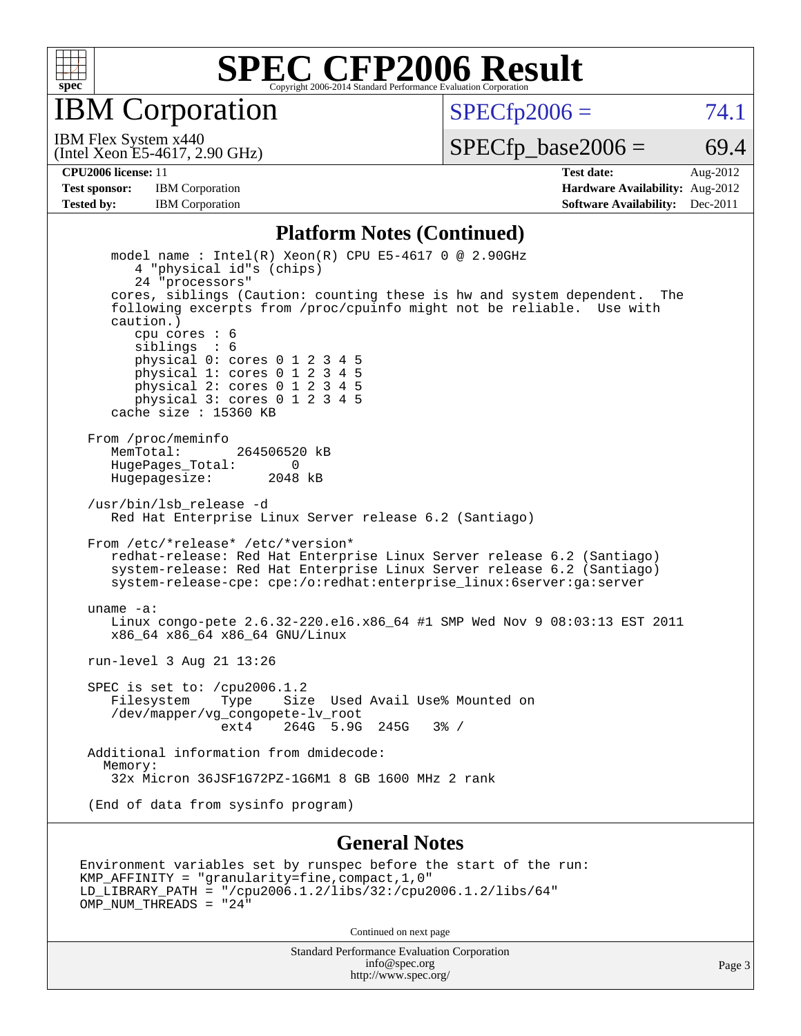

IBM Corporation

 $SPECTp2006 = 74.1$ 

(Intel Xeon E5-4617, 2.90 GHz) IBM Flex System x440

 $SPECTp\_base2006 = 69.4$ 

**[CPU2006 license:](http://www.spec.org/auto/cpu2006/Docs/result-fields.html#CPU2006license)** 11 **[Test date:](http://www.spec.org/auto/cpu2006/Docs/result-fields.html#Testdate)** Aug-2012 **[Test sponsor:](http://www.spec.org/auto/cpu2006/Docs/result-fields.html#Testsponsor)** IBM Corporation **[Hardware Availability:](http://www.spec.org/auto/cpu2006/Docs/result-fields.html#HardwareAvailability)** Aug-2012 **[Tested by:](http://www.spec.org/auto/cpu2006/Docs/result-fields.html#Testedby)** IBM Corporation **[Software Availability:](http://www.spec.org/auto/cpu2006/Docs/result-fields.html#SoftwareAvailability)** Dec-2011

#### **[Platform Notes \(Continued\)](http://www.spec.org/auto/cpu2006/Docs/result-fields.html#PlatformNotes)**

 model name : Intel(R) Xeon(R) CPU E5-4617 0 @ 2.90GHz 4 "physical id"s (chips) 24 "processors" cores, siblings (Caution: counting these is hw and system dependent. The following excerpts from /proc/cpuinfo might not be reliable. Use with caution.) cpu cores : 6 siblings : 6 physical 0: cores 0 1 2 3 4 5 physical 1: cores 0 1 2 3 4 5 physical 2: cores 0 1 2 3 4 5 physical 3: cores 0 1 2 3 4 5 cache size : 15360 KB From /proc/meminfo MemTotal: 264506520 kB HugePages\_Total: 0 Hugepagesize: 2048 kB /usr/bin/lsb\_release -d Red Hat Enterprise Linux Server release 6.2 (Santiago) From /etc/\*release\* /etc/\*version\* redhat-release: Red Hat Enterprise Linux Server release 6.2 (Santiago) system-release: Red Hat Enterprise Linux Server release 6.2 (Santiago) system-release-cpe: cpe:/o:redhat:enterprise\_linux:6server:ga:server uname -a: Linux congo-pete 2.6.32-220.el6.x86\_64 #1 SMP Wed Nov 9 08:03:13 EST 2011 x86\_64 x86\_64 x86\_64 GNU/Linux run-level 3 Aug 21 13:26 SPEC is set to: /cpu2006.1.2 Filesystem Type Size Used Avail Use% Mounted on /dev/mapper/vg\_congopete-lv\_root ext4 264G 5.9G 245G 3% / Additional information from dmidecode: Memory: 32x Micron 36JSF1G72PZ-1G6M1 8 GB 1600 MHz 2 rank (End of data from sysinfo program)

#### **[General Notes](http://www.spec.org/auto/cpu2006/Docs/result-fields.html#GeneralNotes)**

```
Environment variables set by runspec before the start of the run:
KMP_AFFINITY = "granularity=fine,compact,1,0"
LD_LIBRARY_PATH = "/cpu2006.1.2/libs/32:/cpu2006.1.2/libs/64"
OMP NUM THREADS = "24"
```
Continued on next page

Standard Performance Evaluation Corporation [info@spec.org](mailto:info@spec.org) <http://www.spec.org/>

Page 3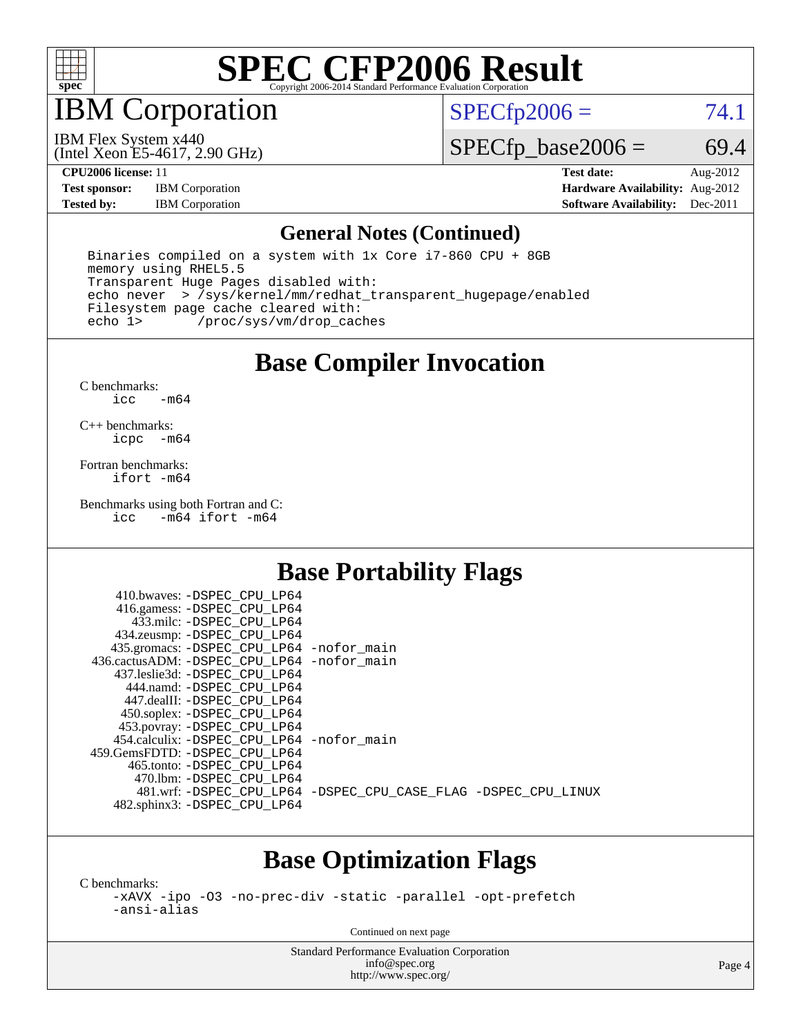

IBM Corporation

 $SPECTp2006 = 74.1$ 

(Intel Xeon E5-4617, 2.90 GHz) IBM Flex System x440

 $SPECTp\_base2006 = 69.4$ 

**[Test sponsor:](http://www.spec.org/auto/cpu2006/Docs/result-fields.html#Testsponsor)** IBM Corporation **[Hardware Availability:](http://www.spec.org/auto/cpu2006/Docs/result-fields.html#HardwareAvailability)** Aug-2012

**[CPU2006 license:](http://www.spec.org/auto/cpu2006/Docs/result-fields.html#CPU2006license)** 11 **[Test date:](http://www.spec.org/auto/cpu2006/Docs/result-fields.html#Testdate)** Aug-2012 **[Tested by:](http://www.spec.org/auto/cpu2006/Docs/result-fields.html#Testedby)** IBM Corporation **[Software Availability:](http://www.spec.org/auto/cpu2006/Docs/result-fields.html#SoftwareAvailability)** Dec-2011

#### **[General Notes \(Continued\)](http://www.spec.org/auto/cpu2006/Docs/result-fields.html#GeneralNotes)**

 Binaries compiled on a system with 1x Core i7-860 CPU + 8GB memory using RHEL5.5 Transparent Huge Pages disabled with: echo never > /sys/kernel/mm/redhat\_transparent\_hugepage/enabled Filesystem page cache cleared with:<br>echo 1> /proc/sys/vm/drop cac /proc/sys/vm/drop\_caches

#### **[Base Compiler Invocation](http://www.spec.org/auto/cpu2006/Docs/result-fields.html#BaseCompilerInvocation)**

[C benchmarks](http://www.spec.org/auto/cpu2006/Docs/result-fields.html#Cbenchmarks):  $\text{icc}$   $-\text{m64}$ 

[C++ benchmarks:](http://www.spec.org/auto/cpu2006/Docs/result-fields.html#CXXbenchmarks) [icpc -m64](http://www.spec.org/cpu2006/results/res2012q3/cpu2006-20120823-24324.flags.html#user_CXXbase_intel_icpc_64bit_bedb90c1146cab66620883ef4f41a67e)

[Fortran benchmarks](http://www.spec.org/auto/cpu2006/Docs/result-fields.html#Fortranbenchmarks): [ifort -m64](http://www.spec.org/cpu2006/results/res2012q3/cpu2006-20120823-24324.flags.html#user_FCbase_intel_ifort_64bit_ee9d0fb25645d0210d97eb0527dcc06e)

[Benchmarks using both Fortran and C](http://www.spec.org/auto/cpu2006/Docs/result-fields.html#BenchmarksusingbothFortranandC):<br>icc -m64 ifort -m64  $-m64$  ifort  $-m64$ 

### **[Base Portability Flags](http://www.spec.org/auto/cpu2006/Docs/result-fields.html#BasePortabilityFlags)**

| 410.bwaves: -DSPEC CPU LP64                  |                                                                |
|----------------------------------------------|----------------------------------------------------------------|
| 416.gamess: -DSPEC_CPU_LP64                  |                                                                |
| 433.milc: -DSPEC CPU LP64                    |                                                                |
| 434.zeusmp: - DSPEC_CPU_LP64                 |                                                                |
| 435.gromacs: -DSPEC_CPU_LP64 -nofor_main     |                                                                |
| 436.cactusADM: - DSPEC CPU LP64 - nofor main |                                                                |
| 437.leslie3d: -DSPEC CPU LP64                |                                                                |
| 444.namd: - DSPEC CPU LP64                   |                                                                |
| 447.dealII: -DSPEC CPU LP64                  |                                                                |
| 450.soplex: -DSPEC_CPU_LP64                  |                                                                |
| 453.povray: -DSPEC_CPU_LP64                  |                                                                |
| 454.calculix: - DSPEC CPU LP64 - nofor main  |                                                                |
| 459. GemsFDTD: - DSPEC CPU LP64              |                                                                |
| 465.tonto: - DSPEC CPU LP64                  |                                                                |
| 470.1bm: - DSPEC CPU LP64                    |                                                                |
|                                              | 481.wrf: -DSPEC_CPU_LP64 -DSPEC_CPU_CASE_FLAG -DSPEC_CPU_LINUX |
| 482.sphinx3: -DSPEC_CPU_LP64                 |                                                                |
|                                              |                                                                |

### **[Base Optimization Flags](http://www.spec.org/auto/cpu2006/Docs/result-fields.html#BaseOptimizationFlags)**

[C benchmarks](http://www.spec.org/auto/cpu2006/Docs/result-fields.html#Cbenchmarks):

[-xAVX](http://www.spec.org/cpu2006/results/res2012q3/cpu2006-20120823-24324.flags.html#user_CCbase_f-xAVX) [-ipo](http://www.spec.org/cpu2006/results/res2012q3/cpu2006-20120823-24324.flags.html#user_CCbase_f-ipo) [-O3](http://www.spec.org/cpu2006/results/res2012q3/cpu2006-20120823-24324.flags.html#user_CCbase_f-O3) [-no-prec-div](http://www.spec.org/cpu2006/results/res2012q3/cpu2006-20120823-24324.flags.html#user_CCbase_f-no-prec-div) [-static](http://www.spec.org/cpu2006/results/res2012q3/cpu2006-20120823-24324.flags.html#user_CCbase_f-static) [-parallel](http://www.spec.org/cpu2006/results/res2012q3/cpu2006-20120823-24324.flags.html#user_CCbase_f-parallel) [-opt-prefetch](http://www.spec.org/cpu2006/results/res2012q3/cpu2006-20120823-24324.flags.html#user_CCbase_f-opt-prefetch) [-ansi-alias](http://www.spec.org/cpu2006/results/res2012q3/cpu2006-20120823-24324.flags.html#user_CCbase_f-ansi-alias)

Continued on next page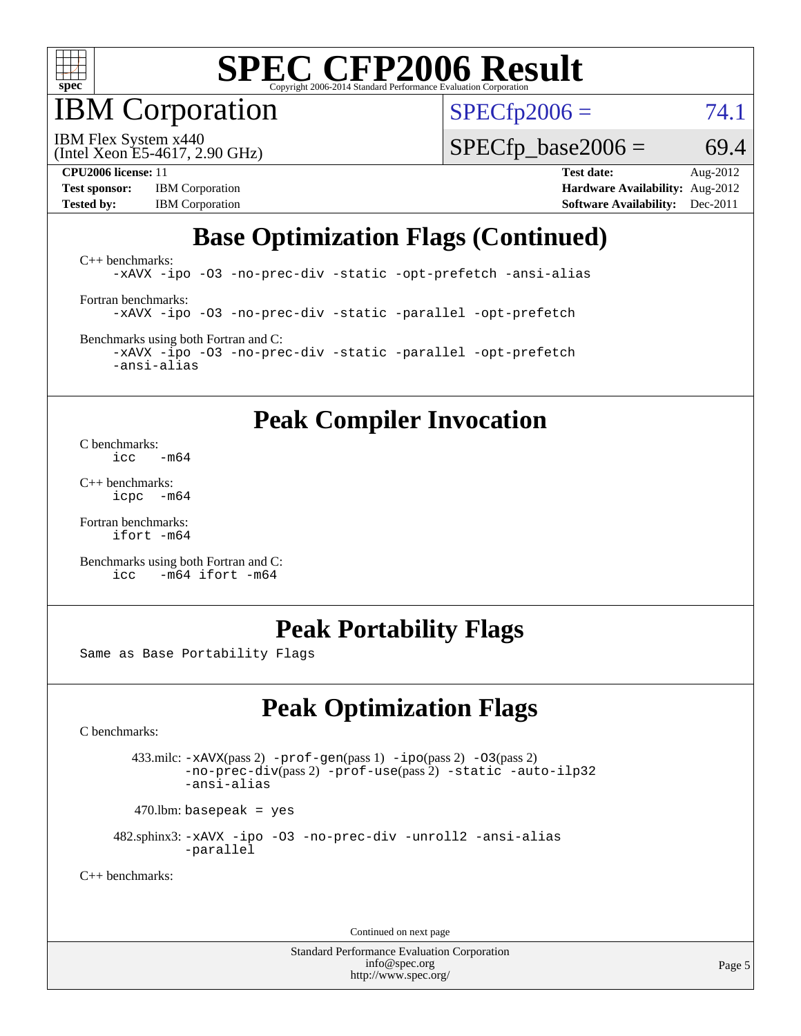

IBM Corporation

 $SPECfp2006 = 74.1$  $SPECfp2006 = 74.1$ 

(Intel Xeon E5-4617, 2.90 GHz) IBM Flex System x440

 $SPECTp\_base2006 = 69.4$ 

**[Test sponsor:](http://www.spec.org/auto/cpu2006/Docs/result-fields.html#Testsponsor)** IBM Corporation **[Hardware Availability:](http://www.spec.org/auto/cpu2006/Docs/result-fields.html#HardwareAvailability)** Aug-2012

**[CPU2006 license:](http://www.spec.org/auto/cpu2006/Docs/result-fields.html#CPU2006license)** 11 **[Test date:](http://www.spec.org/auto/cpu2006/Docs/result-fields.html#Testdate)** Aug-2012 **[Tested by:](http://www.spec.org/auto/cpu2006/Docs/result-fields.html#Testedby)** IBM Corporation **[Software Availability:](http://www.spec.org/auto/cpu2006/Docs/result-fields.html#SoftwareAvailability)** Dec-2011

## **[Base Optimization Flags \(Continued\)](http://www.spec.org/auto/cpu2006/Docs/result-fields.html#BaseOptimizationFlags)**

[C++ benchmarks:](http://www.spec.org/auto/cpu2006/Docs/result-fields.html#CXXbenchmarks) [-xAVX](http://www.spec.org/cpu2006/results/res2012q3/cpu2006-20120823-24324.flags.html#user_CXXbase_f-xAVX) [-ipo](http://www.spec.org/cpu2006/results/res2012q3/cpu2006-20120823-24324.flags.html#user_CXXbase_f-ipo) [-O3](http://www.spec.org/cpu2006/results/res2012q3/cpu2006-20120823-24324.flags.html#user_CXXbase_f-O3) [-no-prec-div](http://www.spec.org/cpu2006/results/res2012q3/cpu2006-20120823-24324.flags.html#user_CXXbase_f-no-prec-div) [-static](http://www.spec.org/cpu2006/results/res2012q3/cpu2006-20120823-24324.flags.html#user_CXXbase_f-static) [-opt-prefetch](http://www.spec.org/cpu2006/results/res2012q3/cpu2006-20120823-24324.flags.html#user_CXXbase_f-opt-prefetch) [-ansi-alias](http://www.spec.org/cpu2006/results/res2012q3/cpu2006-20120823-24324.flags.html#user_CXXbase_f-ansi-alias) [Fortran benchmarks](http://www.spec.org/auto/cpu2006/Docs/result-fields.html#Fortranbenchmarks): [-xAVX](http://www.spec.org/cpu2006/results/res2012q3/cpu2006-20120823-24324.flags.html#user_FCbase_f-xAVX) [-ipo](http://www.spec.org/cpu2006/results/res2012q3/cpu2006-20120823-24324.flags.html#user_FCbase_f-ipo) [-O3](http://www.spec.org/cpu2006/results/res2012q3/cpu2006-20120823-24324.flags.html#user_FCbase_f-O3) [-no-prec-div](http://www.spec.org/cpu2006/results/res2012q3/cpu2006-20120823-24324.flags.html#user_FCbase_f-no-prec-div) [-static](http://www.spec.org/cpu2006/results/res2012q3/cpu2006-20120823-24324.flags.html#user_FCbase_f-static) [-parallel](http://www.spec.org/cpu2006/results/res2012q3/cpu2006-20120823-24324.flags.html#user_FCbase_f-parallel) [-opt-prefetch](http://www.spec.org/cpu2006/results/res2012q3/cpu2006-20120823-24324.flags.html#user_FCbase_f-opt-prefetch) [Benchmarks using both Fortran and C](http://www.spec.org/auto/cpu2006/Docs/result-fields.html#BenchmarksusingbothFortranandC):

[-xAVX](http://www.spec.org/cpu2006/results/res2012q3/cpu2006-20120823-24324.flags.html#user_CC_FCbase_f-xAVX) [-ipo](http://www.spec.org/cpu2006/results/res2012q3/cpu2006-20120823-24324.flags.html#user_CC_FCbase_f-ipo) [-O3](http://www.spec.org/cpu2006/results/res2012q3/cpu2006-20120823-24324.flags.html#user_CC_FCbase_f-O3) [-no-prec-div](http://www.spec.org/cpu2006/results/res2012q3/cpu2006-20120823-24324.flags.html#user_CC_FCbase_f-no-prec-div) [-static](http://www.spec.org/cpu2006/results/res2012q3/cpu2006-20120823-24324.flags.html#user_CC_FCbase_f-static) [-parallel](http://www.spec.org/cpu2006/results/res2012q3/cpu2006-20120823-24324.flags.html#user_CC_FCbase_f-parallel) [-opt-prefetch](http://www.spec.org/cpu2006/results/res2012q3/cpu2006-20120823-24324.flags.html#user_CC_FCbase_f-opt-prefetch) [-ansi-alias](http://www.spec.org/cpu2006/results/res2012q3/cpu2006-20120823-24324.flags.html#user_CC_FCbase_f-ansi-alias)

#### **[Peak Compiler Invocation](http://www.spec.org/auto/cpu2006/Docs/result-fields.html#PeakCompilerInvocation)**

[C benchmarks](http://www.spec.org/auto/cpu2006/Docs/result-fields.html#Cbenchmarks):  $\frac{1}{2}$ cc  $-\text{m64}$ 

[C++ benchmarks:](http://www.spec.org/auto/cpu2006/Docs/result-fields.html#CXXbenchmarks) [icpc -m64](http://www.spec.org/cpu2006/results/res2012q3/cpu2006-20120823-24324.flags.html#user_CXXpeak_intel_icpc_64bit_bedb90c1146cab66620883ef4f41a67e)

[Fortran benchmarks](http://www.spec.org/auto/cpu2006/Docs/result-fields.html#Fortranbenchmarks): [ifort -m64](http://www.spec.org/cpu2006/results/res2012q3/cpu2006-20120823-24324.flags.html#user_FCpeak_intel_ifort_64bit_ee9d0fb25645d0210d97eb0527dcc06e)

[Benchmarks using both Fortran and C](http://www.spec.org/auto/cpu2006/Docs/result-fields.html#BenchmarksusingbothFortranandC): [icc -m64](http://www.spec.org/cpu2006/results/res2012q3/cpu2006-20120823-24324.flags.html#user_CC_FCpeak_intel_icc_64bit_0b7121f5ab7cfabee23d88897260401c) [ifort -m64](http://www.spec.org/cpu2006/results/res2012q3/cpu2006-20120823-24324.flags.html#user_CC_FCpeak_intel_ifort_64bit_ee9d0fb25645d0210d97eb0527dcc06e)

#### **[Peak Portability Flags](http://www.spec.org/auto/cpu2006/Docs/result-fields.html#PeakPortabilityFlags)**

Same as Base Portability Flags

## **[Peak Optimization Flags](http://www.spec.org/auto/cpu2006/Docs/result-fields.html#PeakOptimizationFlags)**

[C benchmarks](http://www.spec.org/auto/cpu2006/Docs/result-fields.html#Cbenchmarks):

 433.milc: [-xAVX](http://www.spec.org/cpu2006/results/res2012q3/cpu2006-20120823-24324.flags.html#user_peakPASS2_CFLAGSPASS2_LDFLAGS433_milc_f-xAVX)(pass 2) [-prof-gen](http://www.spec.org/cpu2006/results/res2012q3/cpu2006-20120823-24324.flags.html#user_peakPASS1_CFLAGSPASS1_LDFLAGS433_milc_prof_gen_e43856698f6ca7b7e442dfd80e94a8fc)(pass 1) [-ipo](http://www.spec.org/cpu2006/results/res2012q3/cpu2006-20120823-24324.flags.html#user_peakPASS2_CFLAGSPASS2_LDFLAGS433_milc_f-ipo)(pass 2) [-O3](http://www.spec.org/cpu2006/results/res2012q3/cpu2006-20120823-24324.flags.html#user_peakPASS2_CFLAGSPASS2_LDFLAGS433_milc_f-O3)(pass 2) [-no-prec-div](http://www.spec.org/cpu2006/results/res2012q3/cpu2006-20120823-24324.flags.html#user_peakPASS2_CFLAGSPASS2_LDFLAGS433_milc_f-no-prec-div)(pass 2) [-prof-use](http://www.spec.org/cpu2006/results/res2012q3/cpu2006-20120823-24324.flags.html#user_peakPASS2_CFLAGSPASS2_LDFLAGS433_milc_prof_use_bccf7792157ff70d64e32fe3e1250b55)(pass 2) [-static](http://www.spec.org/cpu2006/results/res2012q3/cpu2006-20120823-24324.flags.html#user_peakOPTIMIZE433_milc_f-static) [-auto-ilp32](http://www.spec.org/cpu2006/results/res2012q3/cpu2006-20120823-24324.flags.html#user_peakCOPTIMIZE433_milc_f-auto-ilp32) [-ansi-alias](http://www.spec.org/cpu2006/results/res2012q3/cpu2006-20120823-24324.flags.html#user_peakCOPTIMIZE433_milc_f-ansi-alias)

 $470.$ lbm: basepeak = yes

 482.sphinx3: [-xAVX](http://www.spec.org/cpu2006/results/res2012q3/cpu2006-20120823-24324.flags.html#user_peakOPTIMIZE482_sphinx3_f-xAVX) [-ipo](http://www.spec.org/cpu2006/results/res2012q3/cpu2006-20120823-24324.flags.html#user_peakOPTIMIZE482_sphinx3_f-ipo) [-O3](http://www.spec.org/cpu2006/results/res2012q3/cpu2006-20120823-24324.flags.html#user_peakOPTIMIZE482_sphinx3_f-O3) [-no-prec-div](http://www.spec.org/cpu2006/results/res2012q3/cpu2006-20120823-24324.flags.html#user_peakOPTIMIZE482_sphinx3_f-no-prec-div) [-unroll2](http://www.spec.org/cpu2006/results/res2012q3/cpu2006-20120823-24324.flags.html#user_peakCOPTIMIZE482_sphinx3_f-unroll_784dae83bebfb236979b41d2422d7ec2) [-ansi-alias](http://www.spec.org/cpu2006/results/res2012q3/cpu2006-20120823-24324.flags.html#user_peakCOPTIMIZE482_sphinx3_f-ansi-alias) [-parallel](http://www.spec.org/cpu2006/results/res2012q3/cpu2006-20120823-24324.flags.html#user_peakCOPTIMIZE482_sphinx3_f-parallel)

[C++ benchmarks:](http://www.spec.org/auto/cpu2006/Docs/result-fields.html#CXXbenchmarks)

Continued on next page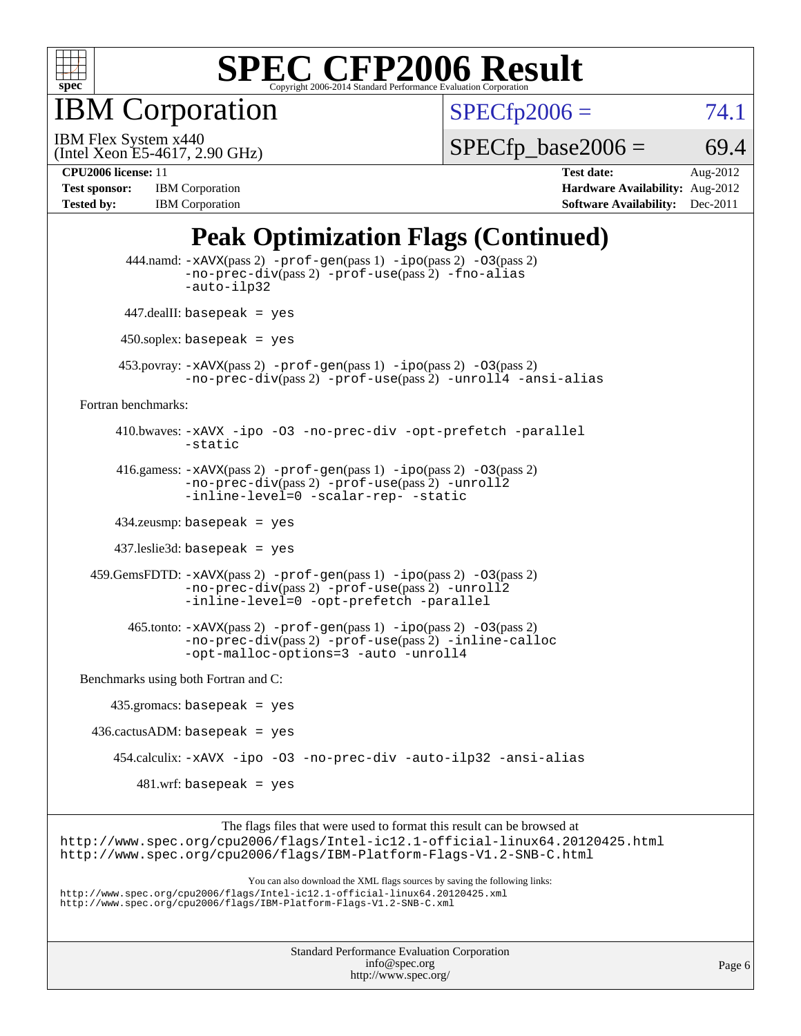

IBM Corporation

 $SPECfp2006 = 74.1$  $SPECfp2006 = 74.1$ 

(Intel Xeon E5-4617, 2.90 GHz) IBM Flex System x440

 $SPECTp\_base2006 = 69.4$ 

**[Tested by:](http://www.spec.org/auto/cpu2006/Docs/result-fields.html#Testedby)** IBM Corporation **[Software Availability:](http://www.spec.org/auto/cpu2006/Docs/result-fields.html#SoftwareAvailability)** Dec-2011

**[CPU2006 license:](http://www.spec.org/auto/cpu2006/Docs/result-fields.html#CPU2006license)** 11 **[Test date:](http://www.spec.org/auto/cpu2006/Docs/result-fields.html#Testdate)** Aug-2012 **[Test sponsor:](http://www.spec.org/auto/cpu2006/Docs/result-fields.html#Testsponsor)** IBM Corporation **[Hardware Availability:](http://www.spec.org/auto/cpu2006/Docs/result-fields.html#HardwareAvailability)** Aug-2012

## **[Peak Optimization Flags \(Continued\)](http://www.spec.org/auto/cpu2006/Docs/result-fields.html#PeakOptimizationFlags)**

|                                      | $444$ .namd: $-xAUX(pass 2)$ -prof-gen(pass 1) -ipo(pass 2) -03(pass 2)<br>$-no\text{-prec-div}(pass 2)$ -prof-use(pass 2) -fno-alias<br>-auto-ilp32                                                                              |
|--------------------------------------|-----------------------------------------------------------------------------------------------------------------------------------------------------------------------------------------------------------------------------------|
|                                      | $447$ .dealII: basepeak = yes                                                                                                                                                                                                     |
|                                      | $450$ .soplex: basepeak = yes                                                                                                                                                                                                     |
|                                      | 453. povray: $-xAVX(pass 2)$ -prof-gen(pass 1) -ipo(pass 2) -03(pass 2)<br>-no-prec-div(pass 2) -prof-use(pass 2) -unroll4 -ansi-alias                                                                                            |
| Fortran benchmarks:                  |                                                                                                                                                                                                                                   |
|                                      | 410.bwaves: -xAVX -ipo -03 -no-prec-div -opt-prefetch -parallel<br>-static                                                                                                                                                        |
|                                      | 416.gamess: $-xAVX(pass 2)$ -prof-gen(pass 1) -ipo(pass 2) -03(pass 2)<br>-no-prec-div(pass 2) -prof-use(pass 2) -unroll2<br>-inline-level=0 -scalar-rep- -static                                                                 |
|                                      | $434$ .zeusmp: basepeak = yes                                                                                                                                                                                                     |
|                                      | $437$ leslie $3d$ : basepeak = yes                                                                                                                                                                                                |
|                                      | $459.GemsFDTD: -xAVX(pass 2) -prof-gen(pass 1) -ipo(pass 2) -O3(pass 2)$<br>-no-prec-div(pass 2) -prof-use(pass 2) -unroll2<br>-inline-level=0 -opt-prefetch -parallel                                                            |
|                                      | $465$ .tonto: $-x$ AVX(pass 2) $-prof-gen(pass 1) -ipo(pass 2) -03(pass 2)$<br>-no-prec-div(pass 2) -prof-use(pass 2) -inline-calloc<br>-opt-malloc-options=3 -auto -unroll4                                                      |
| Benchmarks using both Fortran and C: |                                                                                                                                                                                                                                   |
|                                      | $435.\text{gromacs: basepeak}$ = yes                                                                                                                                                                                              |
|                                      | $436.cactusADM:basepeak = yes$                                                                                                                                                                                                    |
|                                      | 454.calculix: -xAVX -ipo -03 -no-prec-div -auto-ilp32 -ansi-alias                                                                                                                                                                 |
|                                      | $481.wrf$ : basepeak = yes                                                                                                                                                                                                        |
|                                      | The flags files that were used to format this result can be browsed at<br>http://www.spec.org/cpu2006/flags/Intel-ic12.1-official-linux64.20120425.html<br>http://www.spec.org/cpu2006/flags/IBM-Platform-Flags-V1.2-SNB-C.html   |
|                                      | You can also download the XML flags sources by saving the following links:<br>http://www.spec.org/cpu2006/flags/Intel-icl2.1-official-linux64.20120425.xml<br>http://www.spec.org/cpu2006/flags/IBM-Platform-Flags-V1.2-SNB-C.xml |